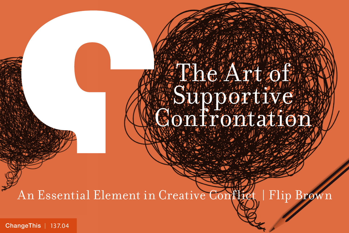## The Art of Supportive. Confrontation

An Essential Element in Creative Conflict | Flip Brown

[ChangeThis](http://changethis.com) | 137.04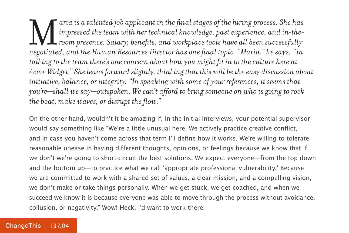aria is a talented job applicant in the final stages of the hiring process. She has<br>impressed the team with her technical knowledge, past experience, and in-the-<br>room presence. Salary, benefits, and workplace tools have al *impressed the team with her technical knowledge, past experience, and in-theroom presence. Salary, benefits, and workplace tools have all been successfully negotiated, and the Human Resources Director has one final topic. "Maria," he says, "in talking to the team there's one concern about how you might fit in to the culture here at Acme Widget." She leans forward slightly, thinking that this will be the easy discussion about initiative, balance, or integrity. "In speaking with some of your references, it seems that you're—shall we say—outspoken. We can't afford to bring someone on who is going to rock the boat, make waves, or disrupt the flow."*

On the other hand, wouldn't it be amazing if, in the initial interviews, your potential supervisor would say something like "We're a little unusual here. We actively practice creative conflict, and in case you haven't come across that term I'll define how it works. We're willing to tolerate reasonable unease in having different thoughts, opinions, or feelings because we know that if we don't we're going to short-circuit the best solutions. We expect everyone—from the top down and the bottom up—to practice what we call 'appropriate professional vulnerability.' Because we are committed to work with a shared set of values, a clear mission, and a compelling vision, we don't make or take things personally. When we get stuck, we get coached, and when we succeed we know it is because everyone was able to move through the process without avoidance, collusion, or negativity." Wow! Heck, I'd want to work there.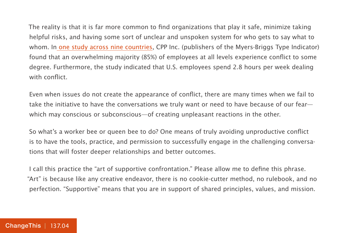The reality is that it is far more common to find organizations that play it safe, minimize taking helpful risks, and having some sort of unclear and unspoken system for who gets to say what to whom. In [one study across nine countries](https://goo.gl/JLCVHW), CPP Inc. (publishers of the Myers-Briggs Type Indicator) found that an overwhelming majority (85%) of employees at all levels experience conflict to some degree. Furthermore, the study indicated that U.S. employees spend 2.8 hours per week dealing with conflict.

Even when issues do not create the appearance of conflict, there are many times when we fail to take the initiative to have the conversations we truly want or need to have because of our fear which may conscious or subconscious—of creating unpleasant reactions in the other.

So what's a worker bee or queen bee to do? One means of truly avoiding unproductive conflict is to have the tools, practice, and permission to successfully engage in the challenging conversations that will foster deeper relationships and better outcomes.

I call this practice the "art of supportive confrontation." Please allow me to define this phrase. "Art" is because like any creative endeavor, there is no cookie-cutter method, no rulebook, and no perfection. "Supportive" means that you are in support of shared principles, values, and mission.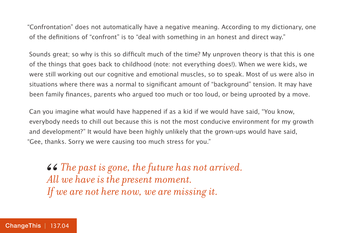"Confrontation" does not automatically have a negative meaning. According to my dictionary, one of the definitions of "confront" is to "deal with something in an honest and direct way."

Sounds great; so why is this so difficult much of the time? My unproven theory is that this is one of the things that goes back to childhood (note: not everything does!). When we were kids, we were still working out our cognitive and emotional muscles, so to speak. Most of us were also in situations where there was a normal to significant amount of "background" tension. It may have been family finances, parents who argued too much or too loud, or being uprooted by a move.

Can you imagine what would have happened if as a kid if we would have said, "You know, everybody needs to chill out because this is not the most conducive environment for my growth and development?" It would have been highly unlikely that the grown-ups would have said, "Gee, thanks. Sorry we were causing too much stress for you."

*The past is gone, the future has not arrived. All we have is the present moment. If we are not here now, we are missing it.*  66<br>*All*<br>*If*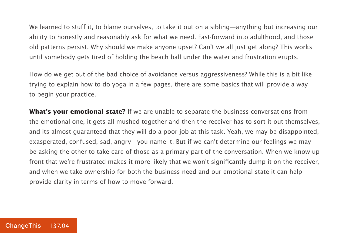We learned to stuff it, to blame ourselves, to take it out on a sibling—anything but increasing our ability to honestly and reasonably ask for what we need. Fast-forward into adulthood, and those old patterns persist. Why should we make anyone upset? Can't we all just get along? This works until somebody gets tired of holding the beach ball under the water and frustration erupts.

How do we get out of the bad choice of avoidance versus aggressiveness? While this is a bit like trying to explain how to do yoga in a few pages, there are some basics that will provide a way to begin your practice.

**What's your emotional state?** If we are unable to separate the business conversations from the emotional one, it gets all mushed together and then the receiver has to sort it out themselves, and its almost guaranteed that they will do a poor job at this task. Yeah, we may be disappointed, exasperated, confused, sad, angry—you name it. But if we can't determine our feelings we may be asking the other to take care of those as a primary part of the conversation. When we know up front that we're frustrated makes it more likely that we won't significantly dump it on the receiver, and when we take ownership for both the business need and our emotional state it can help provide clarity in terms of how to move forward.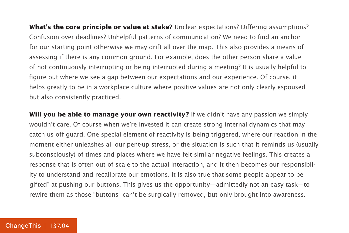**What's the core principle or value at stake?** Unclear expectations? Differing assumptions? Confusion over deadlines? Unhelpful patterns of communication? We need to find an anchor for our starting point otherwise we may drift all over the map. This also provides a means of assessing if there is any common ground. For example, does the other person share a value of not continuously interrupting or being interrupted during a meeting? It is usually helpful to figure out where we see a gap between our expectations and our experience. Of course, it helps greatly to be in a workplace culture where positive values are not only clearly espoused but also consistently practiced.

**Will you be able to manage your own reactivity?** If we didn't have any passion we simply wouldn't care. Of course when we're invested it can create strong internal dynamics that may catch us off guard. One special element of reactivity is being triggered, where our reaction in the moment either unleashes all our pent-up stress, or the situation is such that it reminds us (usually subconsciously) of times and places where we have felt similar negative feelings. This creates a response that is often out of scale to the actual interaction, and it then becomes our responsibility to understand and recalibrate our emotions. It is also true that some people appear to be "gifted" at pushing our buttons. This gives us the opportunity—admittedly not an easy task—to rewire them as those "buttons" can't be surgically removed, but only brought into awareness.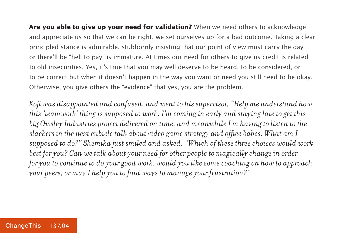**Are you able to give up your need for validation?** When we need others to acknowledge and appreciate us so that we can be right, we set ourselves up for a bad outcome. Taking a clear principled stance is admirable, stubbornly insisting that our point of view must carry the day or there'll be "hell to pay" is immature. At times our need for others to give us credit is related to old insecurities. Yes, it's true that you may well deserve to be heard, to be considered, or to be correct but when it doesn't happen in the way you want or need you still need to be okay. Otherwise, you give others the "evidence" that yes, you are the problem.

*Koji was disappointed and confused, and went to his supervisor, "Help me understand how this 'teamwork' thing is supposed to work. I'm coming in early and staying late to get this big Owsley Industries project delivered on time, and meanwhile I'm having to listen to the slackers in the next cubicle talk about video game strategy and office babes. What am I supposed to do?" Shemika just smiled and asked, "Which of these three choices would work best for you? Can we talk about your need for other people to magically change in order for you to continue to do your good work, would you like some coaching on how to approach your peers, or may I help you to find ways to manage your frustration?"*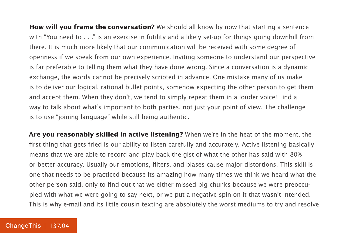**How will you frame the conversation?** We should all know by now that starting a sentence with "You need to . . ." is an exercise in futility and a likely set-up for things going downhill from there. It is much more likely that our communication will be received with some degree of openness if we speak from our own experience. Inviting someone to understand our perspective is far preferable to telling them what they have done wrong. Since a conversation is a dynamic exchange, the words cannot be precisely scripted in advance. One mistake many of us make is to deliver our logical, rational bullet points, somehow expecting the other person to get them and accept them. When they don't, we tend to simply repeat them in a louder voice! Find a way to talk about what's important to both parties, not just your point of view. The challenge is to use "joining language" while still being authentic.

**Are you reasonably skilled in active listening?** When we're in the heat of the moment, the first thing that gets fried is our ability to listen carefully and accurately. Active listening basically means that we are able to record and play back the gist of what the other has said with 80% or better accuracy. Usually our emotions, filters, and biases cause major distortions. This skill is one that needs to be practiced because its amazing how many times we think we heard what the other person said, only to find out that we either missed big chunks because we were preoccupied with what we were going to say next, or we put a negative spin on it that wasn't intended. This is why e-mail and its little cousin texting are absolutely the worst mediums to try and resolve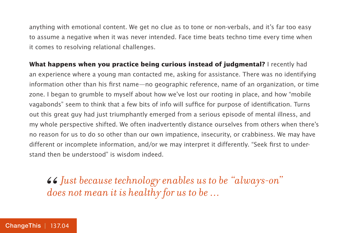anything with emotional content. We get no clue as to tone or non-verbals, and it's far too easy to assume a negative when it was never intended. Face time beats techno time every time when it comes to resolving relational challenges.

**What happens when you practice being curious instead of judgmental?** I recently had an experience where a young man contacted me, asking for assistance. There was no identifying information other than his first name—no geographic reference, name of an organization, or time zone. I began to grumble to myself about how we've lost our rooting in place, and how "mobile vagabonds" seem to think that a few bits of info will suffice for purpose of identification. Turns out this great guy had just triumphantly emerged from a serious episode of mental illness, and my whole perspective shifted. We often inadvertently distance ourselves from others when there's no reason for us to do so other than our own impatience, insecurity, or crabbiness. We may have different or incomplete information, and/or we may interpret it differently. "Seek first to understand then be understood" is wisdom indeed.

 $\bullet$  Just because technology enables us to be "always-on" does not mean it is healthy for us to be ... *does not mean it is healthy for us to be …*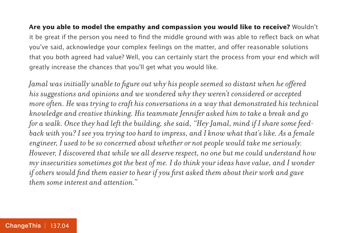**Are you able to model the empathy and compassion you would like to receive?** Wouldn't it be great if the person you need to find the middle ground with was able to reflect back on what you've said, acknowledge your complex feelings on the matter, and offer reasonable solutions that you both agreed had value? Well, you can certainly start the process from your end which will greatly increase the chances that you'll get what you would like.

*Jamal was initially unable to figure out why his people seemed so distant when he offered his suggestions and opinions and we wondered why they weren't considered or accepted more often. He was trying to craft his conversations in a way that demonstrated his technical knowledge and creative thinking. His teammate Jennifer asked him to take a break and go for a walk. Once they had left the building, she said, "Hey Jamal, mind if I share some feedback with you? I see you trying too hard to impress, and I know what that's like. As a female engineer, I used to be so concerned about whether or not people would take me seriously. However, I discovered that while we all deserve respect, no one but me could understand how my insecurities sometimes got the best of me. I do think your ideas have value, and I wonder if others would find them easier to hear if you first asked them about their work and gave them some interest and attention."*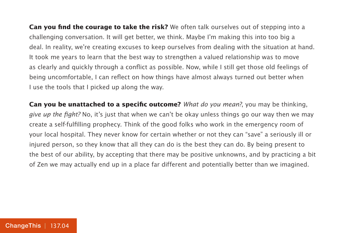**Can you find the courage to take the risk?** We often talk ourselves out of stepping into a challenging conversation. It will get better, we think. Maybe I'm making this into too big a deal. In reality, we're creating excuses to keep ourselves from dealing with the situation at hand. It took me years to learn that the best way to strengthen a valued relationship was to move as clearly and quickly through a conflict as possible. Now, while I still get those old feelings of being uncomfortable, I can reflect on how things have almost always turned out better when I use the tools that I picked up along the way.

**Can you be unattached to a specific outcome?** What do you mean?, you may be thinking, give up the fight? No, it's just that when we can't be okay unless things go our way then we may create a self-fulfilling prophecy. Think of the good folks who work in the emergency room of your local hospital. They never know for certain whether or not they can "save" a seriously ill or injured person, so they know that all they can do is the best they can do. By being present to the best of our ability, by accepting that there may be positive unknowns, and by practicing a bit of Zen we may actually end up in a place far different and potentially better than we imagined.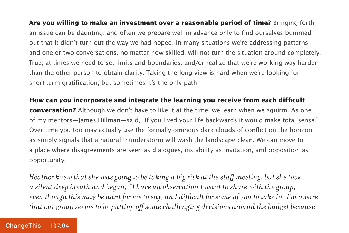**Are you willing to make an investment over a reasonable period of time?** Bringing forth an issue can be daunting, and often we prepare well in advance only to find ourselves bummed out that it didn't turn out the way we had hoped. In many situations we're addressing patterns, and one or two conversations, no matter how skilled, will not turn the situation around completely. True, at times we need to set limits and boundaries, and/or realize that we're working way harder than the other person to obtain clarity. Taking the long view is hard when we're looking for short-term gratification, but sometimes it's the only path.

**How can you incorporate and integrate the learning you receive from each difficult conversation?** Although we don't have to like it at the time, we learn when we squirm. As one of my mentors—James Hillman—said, "If you lived your life backwards it would make total sense." Over time you too may actually use the formally ominous dark clouds of conflict on the horizon as simply signals that a natural thunderstorm will wash the landscape clean. We can move to a place where disagreements are seen as dialogues, instability as invitation, and opposition as opportunity.

*Heather knew that she was going to be taking a big risk at the staff meeting, but she took a silent deep breath and began, "I have an observation I want to share with the group, even though this may be hard for me to say, and difficult for some of you to take in. I'm aware that our group seems to be putting off some challenging decisions around the budget because*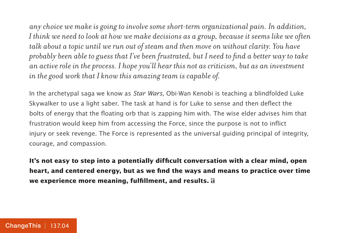*any choice we make is going to involve some short-term organizational pain. In addition, I think we need to look at how we make decisions as a group, because it seems like we often talk about a topic until we run out of steam and then move on without clarity. You have probably been able to guess that I've been frustrated, but I need to find a better way to take an active role in the process. I hope you'll hear this not as criticism, but as an investment in the good work that I know this amazing team is capable of.*

In the archetypal saga we know as Star Wars, Obi-Wan Kenobi is teaching a blindfolded Luke Skywalker to use a light saber. The task at hand is for Luke to sense and then deflect the bolts of energy that the floating orb that is zapping him with. The wise elder advises him that frustration would keep him from accessing the Force, since the purpose is not to inflict injury or seek revenge. The Force is represented as the universal guiding principal of integrity, courage, and compassion.

**It's not easy to step into a potentially difficult conversation with a clear mind, open heart, and centered energy, but as we find the ways and means to practice over time we experience more meaning, fulfillment, and results.**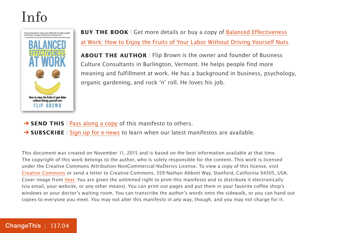## Info



**BUY THE BOOK** | Get more details or buy a copy of [Balanced Effectiveness](https://800ceoread.com/products/balanced-effectiveness-at-work-flip-brown-english?selected=367132) [at Work: How to Enjoy the Fruits of Your Labor Without Driving Yourself Nuts.](https://800ceoread.com/products/balanced-effectiveness-at-work-flip-brown-english?selected=367132)

**ABOUT THE AUTHOR** | Flip Brown is the owner and founder of Business Culture Consultants in Burlington, Vermont. He helps people find more meaning and fulfillment at work. He has a background in business, psychology, organic gardening, and rock 'n' roll. He loves his job.

- **→ SEND THIS** | [Pass along a copy](http://www.changethis.com/137.04.SupportiveConfrontation/email) of this manifesto to others.
- → **SUBSCRIBE** | Sign up fo[r e-news](http://changethis.com/page/show/e_mail_newsletter) to learn when our latest manifestos are available.

This document was created on November 11, 2015 and is based on the best information available at that time. The copyright of this work belongs to the author, who is solely responsible for the content. This work is licensed under the Creative Commons Attribution-NonCommercial-NoDerivs License. To view a copy of this license, visit [Creative Commons](http://creativecommons.org/licenses/by-nc-nd/2.0/) or send a letter to Creative Commons, 559 Nathan Abbott Way, Stanford, California 94305, USA. Cover image from [Veer.](http://www.veer.com/) You are given the unlimited right to print this manifesto and to distribute it electronically (via email, your website, or any other means). You can print out pages and put them in your favorite coffee shop's windows or your doctor's waiting room. You can transcribe the author's words onto the sidewalk, or you can hand out copies to everyone you meet. You may not alter this manifesto in any way, though, and you may not charge for it.